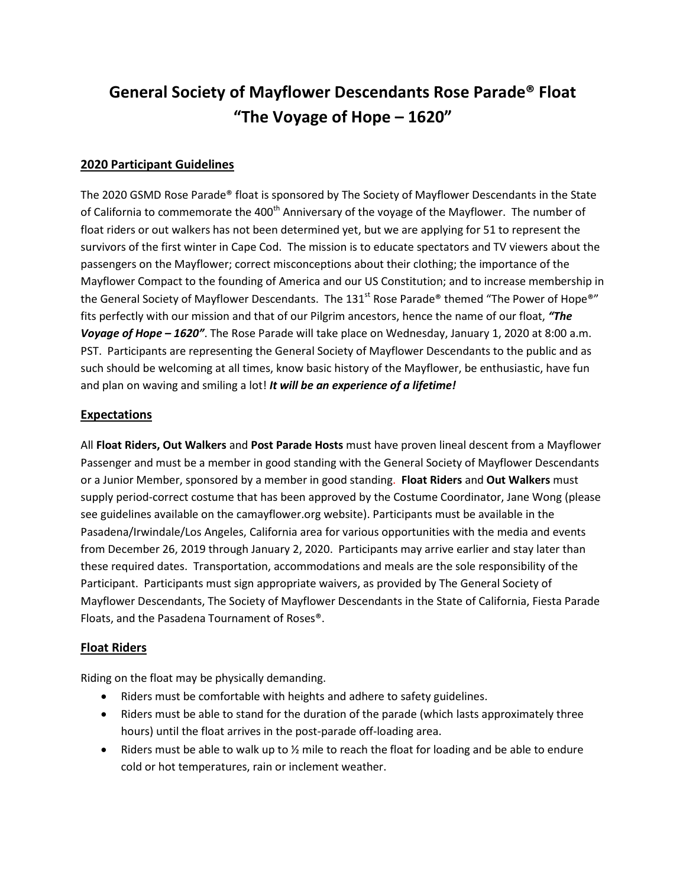# **General Society of Mayflower Descendants Rose Parade® Float "The Voyage of Hope – 1620"**

### **2020 Participant Guidelines**

The 2020 GSMD Rose Parade® float is sponsored by The Society of Mayflower Descendants in the State of California to commemorate the 400<sup>th</sup> Anniversary of the voyage of the Mayflower. The number of float riders or out walkers has not been determined yet, but we are applying for 51 to represent the survivors of the first winter in Cape Cod. The mission is to educate spectators and TV viewers about the passengers on the Mayflower; correct misconceptions about their clothing; the importance of the Mayflower Compact to the founding of America and our US Constitution; and to increase membership in the General Society of Mayflower Descendants. The 131<sup>st</sup> Rose Parade<sup>®</sup> themed "The Power of Hope<sup>®"</sup> fits perfectly with our mission and that of our Pilgrim ancestors, hence the name of our float, *"The Voyage of Hope – 1620"*. The Rose Parade will take place on Wednesday, January 1, 2020 at 8:00 a.m. PST. Participants are representing the General Society of Mayflower Descendants to the public and as such should be welcoming at all times, know basic history of the Mayflower, be enthusiastic, have fun and plan on waving and smiling a lot! *It will be an experience of a lifetime!* 

## **Expectations**

All **Float Riders, Out Walkers** and **Post Parade Hosts** must have proven lineal descent from a Mayflower Passenger and must be a member in good standing with the General Society of Mayflower Descendants or a Junior Member, sponsored by a member in good standing. **Float Riders** and **Out Walkers** must supply period-correct costume that has been approved by the Costume Coordinator, Jane Wong (please see guidelines available on the camayflower.org website). Participants must be available in the Pasadena/Irwindale/Los Angeles, California area for various opportunities with the media and events from December 26, 2019 through January 2, 2020. Participants may arrive earlier and stay later than these required dates. Transportation, accommodations and meals are the sole responsibility of the Participant. Participants must sign appropriate waivers, as provided by The General Society of Mayflower Descendants, The Society of Mayflower Descendants in the State of California, Fiesta Parade Floats, and the Pasadena Tournament of Roses®.

#### **Float Riders**

Riding on the float may be physically demanding.

- Riders must be comfortable with heights and adhere to safety guidelines.
- Riders must be able to stand for the duration of the parade (which lasts approximately three hours) until the float arrives in the post-parade off-loading area.
- Riders must be able to walk up to  $\frac{1}{2}$  mile to reach the float for loading and be able to endure cold or hot temperatures, rain or inclement weather.